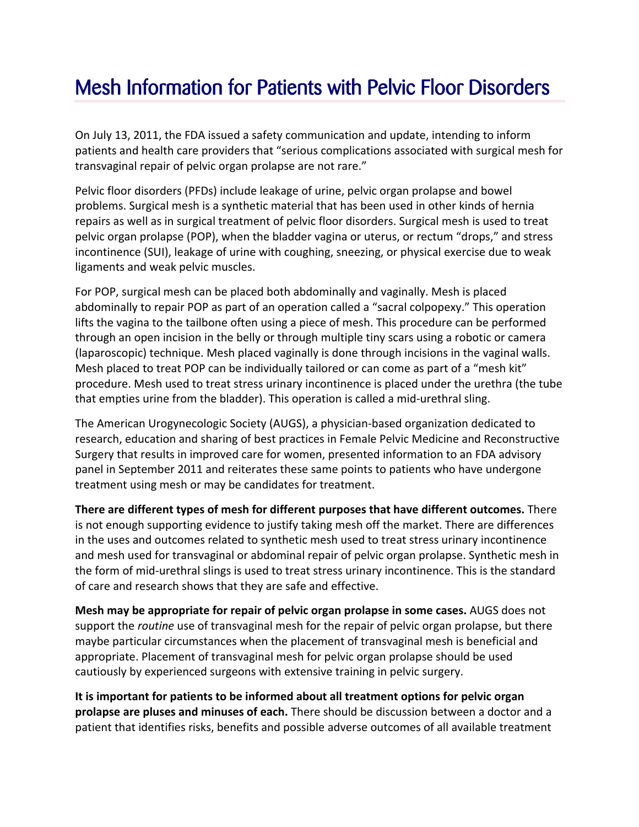## Mesh Information for Patients with Pelvic Floor Disorders

On July 13, 2011, the FDA issued a safety communication and update, intending to inform patients and health care providers that "serious complications associated with surgical mesh for transvaginal repair of pelvic organ prolapse are not rare."

Pelvic floor disorders (PFDs) include leakage of urine, pelvic organ prolapse and bowel problems. Surgical mesh is a synthetic material that has been used in other kinds of hernia repairs as well as in surgical treatment of pelvic floor disorders. Surgical mesh is used to treat pelvic organ prolapse (POP), when the bladder vagina or uterus, or rectum "drops," and stress incontinence (SUI), leakage of urine with coughing, sneezing, or physical exercise due to weak ligaments and weak pelvic muscles.

For POP, surgical mesh can be placed both abdominally and vaginally. Mesh is placed abdominally to repair POP as part of an operation called a "sacral colpopexy." This operation lifts the vagina to the tailbone often using a piece of mesh. This procedure can be performed through an open incision in the belly or through multiple tiny scars using a robotic or camera (laparoscopic) technique. Mesh placed vaginally is done through incisions in the vaginal walls. Mesh placed to treat POP can be individually tailored or can come as part of a "mesh kit" procedure. Mesh used to treat stress urinary incontinence is placed under the urethra (the tube that empties urine from the bladder). This operation is called a mid‐urethral sling.

The American Urogynecologic Society (AUGS), a physician‐based organization dedicated to research, education and sharing of best practices in Female Pelvic Medicine and Reconstructive Surgery that results in improved care for women, presented information to an FDA advisory panel in September 2011 and reiterates these same points to patients who have undergone treatment using mesh or may be candidates for treatment.

**There are different types of mesh for different purposes that have different outcomes.** There is not enough supporting evidence to justify taking mesh off the market. There are differences in the uses and outcomes related to synthetic mesh used to treat stress urinary incontinence and mesh used for transvaginal or abdominal repair of pelvic organ prolapse. Synthetic mesh in the form of mid‐urethral slings is used to treat stress urinary incontinence. This is the standard of care and research shows that they are safe and effective.

**Mesh may be appropriate for repair of pelvic organ prolapse in some cases.** AUGS does not support the *routine* use of transvaginal mesh for the repair of pelvic organ prolapse, but there maybe particular circumstances when the placement of transvaginal mesh is beneficial and appropriate. Placement of transvaginal mesh for pelvic organ prolapse should be used cautiously by experienced surgeons with extensive training in pelvic surgery.

**It is important for patients to be informed about all treatment options for pelvic organ prolapse are pluses and minuses of each.** There should be discussion between a doctor and a patient that identifies risks, benefits and possible adverse outcomes of all available treatment